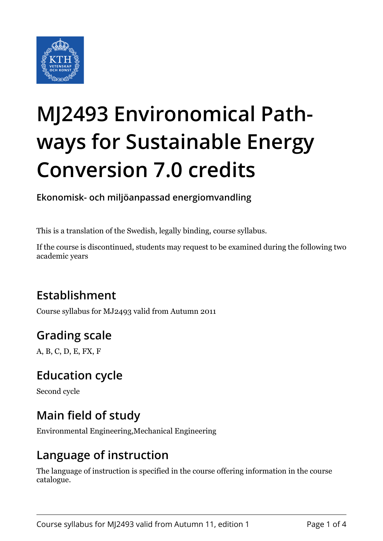

# **MJ2493 Environomical Pathways for Sustainable Energy Conversion 7.0 credits**

**Ekonomisk- och miljöanpassad energiomvandling**

This is a translation of the Swedish, legally binding, course syllabus.

If the course is discontinued, students may request to be examined during the following two academic years

# **Establishment**

Course syllabus for MJ2493 valid from Autumn 2011

# **Grading scale**

A, B, C, D, E, FX, F

## **Education cycle**

Second cycle

## **Main field of study**

Environmental Engineering,Mechanical Engineering

#### **Language of instruction**

The language of instruction is specified in the course offering information in the course catalogue.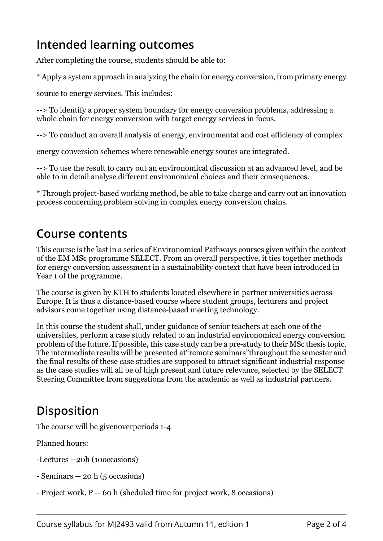## **Intended learning outcomes**

After completing the course, students should be able to:

\* Apply a system approach in analyzing the chain for energy conversion, from primary energy

source to energy services. This includes:

--> To identify a proper system boundary for energy conversion problems, addressing a whole chain for energy conversion with target energy services in focus.

--> To conduct an overall analysis of energy, environmental and cost efficiency of complex

energy conversion schemes where renewable energy soures are integrated.

--> To use the result to carry out an environomical discussion at an advanced level, and be able to in detail analyse different environomical choices and their consequences.

\* Through project-based working method, be able to take charge and carry out an innovation process concerning problem solving in complex energy conversion chains.

#### **Course contents**

This course is the last in a series of Environomical Pathways courses given within the context of the EM MSc programme SELECT. From an overall perspective, it ties together methods for energy conversion assessment in a sustainability context that have been introduced in Year 1 of the programme.

The course is given by KTH to students located elsewhere in partner universities across Europe. It is thus a distance-based course where student groups, lecturers and project advisors come together using distance-based meeting technology.

In this course the student shall, under guidance of senior teachers at each one of the universities, perform a case study related to an industrial environomical energy conversion problem of the future. If possible, this case study can be a pre-study to their MSc thesis topic. The intermediate results will be presented at"remote seminars"throughout the semester and the final results of these case studies are supposed to attract significant industrial response as the case studies will all be of high present and future relevance, selected by the SELECT Steering Committee from suggestions from the academic as well as industrial partners.

## **Disposition**

The course will be givenoverperiods 1-4

Planned hours:

- -Lectures --20h (10occasions)
- Seminars -- 20 h (5 occasions)
- Project work, P -- 60 h (sheduled time for project work, 8 occasions)